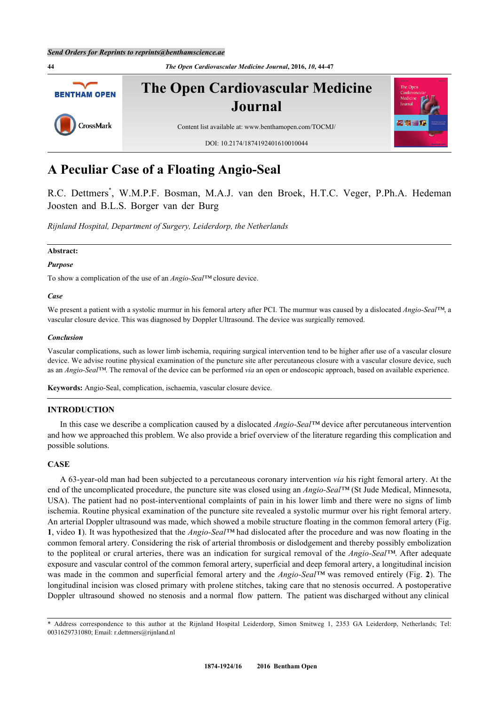**44** *The Open Cardiovascular Medicine Journal***, 2016,** *10***, 44-47 The Open Cardiovascular Medicine BENTHAM OPEN Journal** CrossMark Content list available at: [www.benthamopen.com/TOCMJ/](http://www.benthamopen.com/TOCMJ/) DOI: [10.2174/1874192401610010044](http://dx.doi.org/10.2174/1874192401610010044)

# **A Peculiar Case of a Floating Angio-Seal**

R.C. Dettmers[\\*](#page-0-0) , W.M.P.F. Bosman, M.A.J. van den Broek, H.T.C. Veger, P.Ph.A. Hedeman Joosten and B.L.S. Borger van der Burg

*Rijnland Hospital, Department of Surgery, Leiderdorp, the Netherlands*

#### **Abstract:**

#### *Purpose*

To show a complication of the use of an *Angio-Seal™* closure device.

#### *Case*

We present a patient with a systolic murmur in his femoral artery after PCI. The murmur was caused by a dislocated *Angio-Seal™*, a vascular closure device. This was diagnosed by Doppler Ultrasound. The device was surgically removed.

#### *Conclusion*

Vascular complications, such as lower limb ischemia, requiring surgical intervention tend to be higher after use of a vascular closure device. We advise routine physical examination of the puncture site after percutaneous closure with a vascular closure device, such as an *Angio-Seal™*. The removal of the device can be performed *via* an open or endoscopic approach, based on available experience.

**Keywords:** Angio-Seal, complication, ischaemia, vascular closure device.

## **INTRODUCTION**

In this case we describe a complication caused by a dislocated *Angio-Seal™* device after percutaneous intervention and how we approached this problem. We also provide a brief overview of the literature regarding this complication and possible solutions.

# **CASE**

A 63-year-old man had been subjected to a percutaneous coronary intervention *via* his right femoral artery. At the end of the uncomplicated procedure, the puncture site was closed using an *Angio-Seal™* (St Jude Medical, Minnesota, USA). The patient had no post-interventional complaints of pain in his lower limb and there were no signs of limb ischemia. Routine physical examination of the puncture site revealed a systolic murmur over his right femoral artery. An arterial Doppler ultrasound was made, which showed a mobile structure floating in the common femoral artery (Fig. **[1](#page-1-0)**, video **1**). It was hypothesized that the *Angio-Seal™* had dislocated after the procedure and was now floating in the common femoral artery. Considering the risk of arterial thrombosis or dislodgement and thereby possibly embolization to the popliteal or crural arteries, there was an indication for surgical removal of the *Angio-Seal™*. After adequate exposure and vascular control of the common femoral artery, superficial and deep femoral artery, a longitudinal incision was made in the common and superficial femoral artery and the *Angio-Seal™* was removed entirely (Fig. **[2](#page-1-1)**). The longitudinal incision was closed primary with prolene stitches, taking care that no stenosis occurred. A postoperative Doppler ultrasound showed no stenosis and a normal flow pattern. The patient was discharged without any clinical

<span id="page-0-0"></span><sup>\*</sup> Address correspondence to this author at the Rijnland Hospital Leiderdorp, Simon Smitweg 1, 2353 GA Leiderdorp, Netherlands; Tel: 0031629731080; Email: [r.dettmers@rijnland.nl](mailto:r.dettmers@rijnland.nl)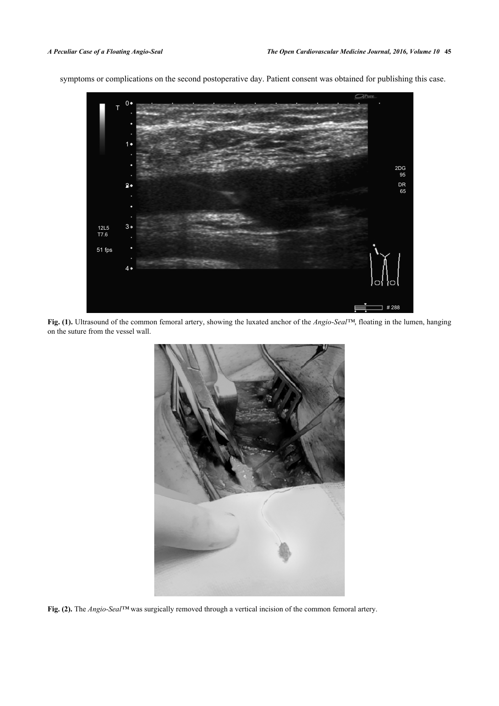<span id="page-1-0"></span>symptoms or complications on the second postoperative day. Patient consent was obtained for publishing this case.



**Fig. (1).** Ultrasound of the common femoral artery, showing the luxated anchor of the *Angio-Seal™*, floating in the lumen, hanging on the suture from the vessel wall.

<span id="page-1-1"></span>

**Fig. (2).** The *Angio-Seal™* was surgically removed through a vertical incision of the common femoral artery.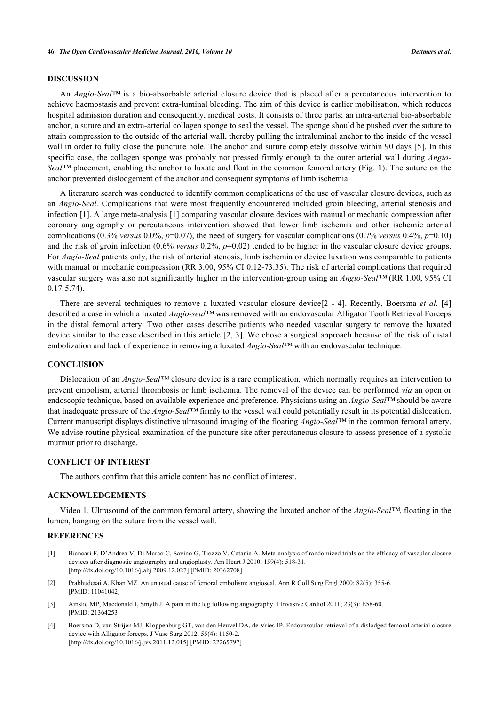## **DISCUSSION**

An *Angio-Seal™* is a bio-absorbable arterial closure device that is placed after a percutaneous intervention to achieve haemostasis and prevent extra-luminal bleeding. The aim of this device is earlier mobilisation, which reduces hospital admission duration and consequently, medical costs. It consists of three parts; an intra-arterial bio-absorbable anchor, a suture and an extra-arterial collagen sponge to seal the vessel. The sponge should be pushed over the suture to attain compression to the outside of the arterial wall, thereby pulling the intraluminal anchor to the inside of the vessel wall in order to fully close the puncture hole. The anchor and suture completely dissolve within 90 days [[5](#page-3-0)]. In this specific case, the collagen sponge was probably not pressed firmly enough to the outer arterial wall during *Angio-Seal™* placement, enabling the anchor to luxate and float in the common femoral artery (Fig. **[1](#page-1-0)**). The suture on the anchor prevented dislodgement of the anchor and consequent symptoms of limb ischemia.

A literature search was conducted to identify common complications of the use of vascular closure devices, such as an *Angio-Seal.* Complications that were most frequently encountered included groin bleeding, arterial stenosis and infection [\[1](#page-2-0)]. A large meta-analysis [\[1](#page-2-0)] comparing vascular closure devices with manual or mechanic compression after coronary angiography or percutaneous intervention showed that lower limb ischemia and other ischemic arterial complications (0.3% *versus* 0.0%,  $p=0.07$ ), the need of surgery for vascular complications (0.7% *versus* 0.4%,  $p=0.10$ ) and the risk of groin infection (0.6% *versus* 0.2%,  $p=0.02$ ) tended to be higher in the vascular closure device groups. For *Angio-Seal* patients only, the risk of arterial stenosis, limb ischemia or device luxation was comparable to patients with manual or mechanic compression (RR 3.00, 95% CI 0.12-73.35). The risk of arterial complications that required vascular surgery was also not significantly higher in the intervention-group using an *Angio-Seal™* (RR 1.00, 95% CI 0.17-5.74).

There are several techniques to remove a luxated vascular closure device[[2](#page-2-1) - [4](#page-2-2)]. Recently, Boersma *et al.* [\[4](#page-2-2)] described a case in which a luxated *Angio-seal™* was removed with an endovascular Alligator Tooth Retrieval Forceps in the distal femoral artery. Two other cases describe patients who needed vascular surgery to remove the luxated device similar to the case described in this article [[2](#page-2-1), [3](#page-2-3)]. We chose a surgical approach because of the risk of distal embolization and lack of experience in removing a luxated *Angio-Seal™* with an endovascular technique.

#### **CONCLUSION**

Dislocation of an *Angio-Seal™* closure device is a rare complication, which normally requires an intervention to prevent embolism, arterial thrombosis or limb ischemia. The removal of the device can be performed *via* an open or endoscopic technique, based on available experience and preference. Physicians using an *Angio-Seal™* should be aware that inadequate pressure of the *Angio-Seal™* firmly to the vessel wall could potentially result in its potential dislocation. Current manuscript displays distinctive ultrasound imaging of the floating *Angio-Seal™* in the common femoral artery. We advise routine physical examination of the puncture site after percutaneous closure to assess presence of a systolic murmur prior to discharge.

#### **CONFLICT OF INTEREST**

The authors confirm that this article content has no conflict of interest.

## **ACKNOWLEDGEMENTS**

Video 1. Ultrasound of the common femoral artery, showing the luxated anchor of the *Angio-Seal™*, floating in the lumen, hanging on the suture from the vessel wall.

#### **REFERENCES**

- <span id="page-2-0"></span>[1] Biancari F, D'Andrea V, Di Marco C, Savino G, Tiozzo V, Catania A. Meta-analysis of randomized trials on the efficacy of vascular closure devices after diagnostic angiography and angioplasty. Am Heart J 2010; 159(4): 518-31. [\[http://dx.doi.org/10.1016/j.ahj.2009.12.027\]](http://dx.doi.org/10.1016/j.ahj.2009.12.027) [PMID: [20362708](http://www.ncbi.nlm.nih.gov/pubmed/20362708)]
- <span id="page-2-1"></span>[2] Prabhudesai A, Khan MZ. An unusual cause of femoral embolism: angioseal. Ann R Coll Surg Engl 2000; 82(5): 355-6. [PMID: [11041042\]](http://www.ncbi.nlm.nih.gov/pubmed/11041042)
- <span id="page-2-3"></span>[3] Ainslie MP, Macdonald J, Smyth J. A pain in the leg following angiography. J Invasive Cardiol 2011; 23(3): E58-60. [PMID: [21364253\]](http://www.ncbi.nlm.nih.gov/pubmed/21364253)
- <span id="page-2-2"></span>[4] Boersma D, van Strijen MJ, Kloppenburg GT, van den Heuvel DA, de Vries JP. Endovascular retrieval of a dislodged femoral arterial closure device with Alligator forceps. J Vasc Surg 2012; 55(4): 1150-2. [\[http://dx.doi.org/10.1016/j.jvs.2011.12.015](http://dx.doi.org/10.1016/j.jvs.2011.12.015)] [PMID: [22265797\]](http://www.ncbi.nlm.nih.gov/pubmed/22265797)